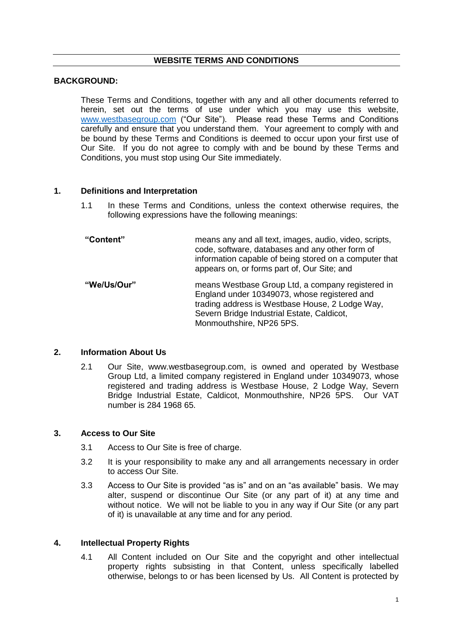#### **WEBSITE TERMS AND CONDITIONS**

#### **BACKGROUND:**

These Terms and Conditions, together with any and all other documents referred to herein, set out the terms of use under which you may use this website, [www.westbasegroup.com](http://www.westbasegroup.com/) ("Our Site"). Please read these Terms and Conditions carefully and ensure that you understand them. Your agreement to comply with and be bound by these Terms and Conditions is deemed to occur upon your first use of Our Site. If you do not agree to comply with and be bound by these Terms and Conditions, you must stop using Our Site immediately.

#### **1. Definitions and Interpretation**

1.1 In these Terms and Conditions, unless the context otherwise requires, the following expressions have the following meanings:

| "Content"   | means any and all text, images, audio, video, scripts,<br>code, software, databases and any other form of<br>information capable of being stored on a computer that<br>appears on, or forms part of, Our Site; and             |
|-------------|--------------------------------------------------------------------------------------------------------------------------------------------------------------------------------------------------------------------------------|
| "We/Us/Our" | means Westbase Group Ltd, a company registered in<br>England under 10349073, whose registered and<br>trading address is Westbase House, 2 Lodge Way,<br>Severn Bridge Industrial Estate, Caldicot,<br>Monmouthshire, NP26 5PS. |

# **2. Information About Us**

2.1 Our Site, www.westbasegroup.com, is owned and operated by Westbase Group Ltd, a limited company registered in England under 10349073, whose registered and trading address is Westbase House, 2 Lodge Way, Severn Bridge Industrial Estate, Caldicot, Monmouthshire, NP26 5PS. Our VAT number is 284 1968 65.

#### **3. Access to Our Site**

- 3.1 Access to Our Site is free of charge.
- 3.2 It is your responsibility to make any and all arrangements necessary in order to access Our Site.
- 3.3 Access to Our Site is provided "as is" and on an "as available" basis. We may alter, suspend or discontinue Our Site (or any part of it) at any time and without notice. We will not be liable to you in any way if Our Site (or any part of it) is unavailable at any time and for any period.

#### **4. Intellectual Property Rights**

4.1 All Content included on Our Site and the copyright and other intellectual property rights subsisting in that Content, unless specifically labelled otherwise, belongs to or has been licensed by Us. All Content is protected by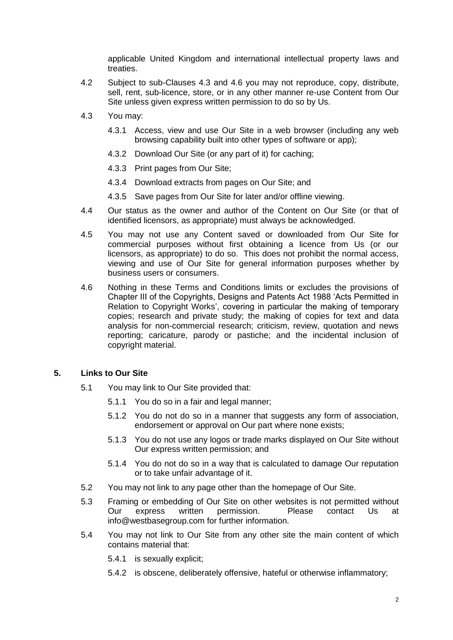applicable United Kingdom and international intellectual property laws and treaties.

- 4.2 Subject to sub-Clauses 4.3 and 4.6 you may not reproduce, copy, distribute, sell, rent, sub-licence, store, or in any other manner re-use Content from Our Site unless given express written permission to do so by Us.
- 4.3 You may:
	- 4.3.1 Access, view and use Our Site in a web browser (including any web browsing capability built into other types of software or app);
	- 4.3.2 Download Our Site (or any part of it) for caching;
	- 4.3.3 Print pages from Our Site;
	- 4.3.4 Download extracts from pages on Our Site; and
	- 4.3.5 Save pages from Our Site for later and/or offline viewing.
- 4.4 Our status as the owner and author of the Content on Our Site (or that of identified licensors, as appropriate) must always be acknowledged.
- 4.5 You may not use any Content saved or downloaded from Our Site for commercial purposes without first obtaining a licence from Us (or our licensors, as appropriate) to do so. This does not prohibit the normal access, viewing and use of Our Site for general information purposes whether by business users or consumers.
- 4.6 Nothing in these Terms and Conditions limits or excludes the provisions of Chapter III of the Copyrights, Designs and Patents Act 1988 'Acts Permitted in Relation to Copyright Works', covering in particular the making of temporary copies; research and private study; the making of copies for text and data analysis for non-commercial research; criticism, review, quotation and news reporting; caricature, parody or pastiche; and the incidental inclusion of copyright material.

# **5. Links to Our Site**

- 5.1 You may link to Our Site provided that:
	- 5.1.1 You do so in a fair and legal manner;
	- 5.1.2 You do not do so in a manner that suggests any form of association, endorsement or approval on Our part where none exists;
	- 5.1.3 You do not use any logos or trade marks displayed on Our Site without Our express written permission; and
	- 5.1.4 You do not do so in a way that is calculated to damage Our reputation or to take unfair advantage of it.
- 5.2 You may not link to any page other than the homepage of Our Site.
- 5.3 Framing or embedding of Our Site on other websites is not permitted without Our express written permission. Please contact Us at info@westbasegroup.com for further information.
- 5.4 You may not link to Our Site from any other site the main content of which contains material that:
	- 5.4.1 is sexually explicit;
	- 5.4.2 is obscene, deliberately offensive, hateful or otherwise inflammatory;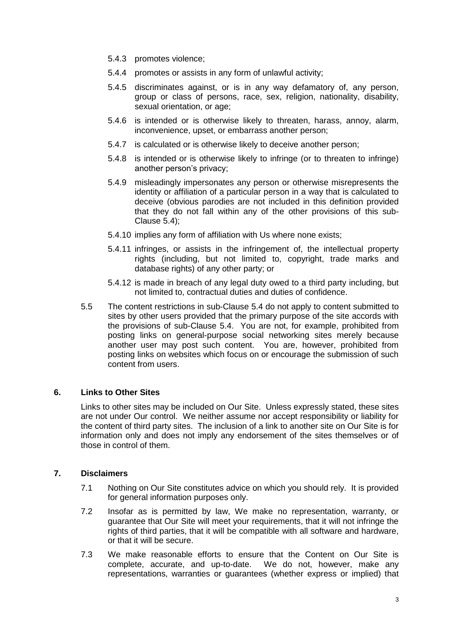- 5.4.3 promotes violence;
- 5.4.4 promotes or assists in any form of unlawful activity;
- 5.4.5 discriminates against, or is in any way defamatory of, any person, group or class of persons, race, sex, religion, nationality, disability, sexual orientation, or age;
- 5.4.6 is intended or is otherwise likely to threaten, harass, annoy, alarm, inconvenience, upset, or embarrass another person;
- 5.4.7 is calculated or is otherwise likely to deceive another person;
- 5.4.8 is intended or is otherwise likely to infringe (or to threaten to infringe) another person's privacy;
- 5.4.9 misleadingly impersonates any person or otherwise misrepresents the identity or affiliation of a particular person in a way that is calculated to deceive (obvious parodies are not included in this definition provided that they do not fall within any of the other provisions of this sub-Clause 5.4);
- 5.4.10 implies any form of affiliation with Us where none exists;
- 5.4.11 infringes, or assists in the infringement of, the intellectual property rights (including, but not limited to, copyright, trade marks and database rights) of any other party; or
- 5.4.12 is made in breach of any legal duty owed to a third party including, but not limited to, contractual duties and duties of confidence.
- 5.5 The content restrictions in sub-Clause 5.4 do not apply to content submitted to sites by other users provided that the primary purpose of the site accords with the provisions of sub-Clause 5.4. You are not, for example, prohibited from posting links on general-purpose social networking sites merely because another user may post such content. You are, however, prohibited from posting links on websites which focus on or encourage the submission of such content from users.

# **6. Links to Other Sites**

Links to other sites may be included on Our Site. Unless expressly stated, these sites are not under Our control. We neither assume nor accept responsibility or liability for the content of third party sites. The inclusion of a link to another site on Our Site is for information only and does not imply any endorsement of the sites themselves or of those in control of them.

# **7. Disclaimers**

- 7.1 Nothing on Our Site constitutes advice on which you should rely. It is provided for general information purposes only.
- 7.2 Insofar as is permitted by law, We make no representation, warranty, or guarantee that Our Site will meet your requirements, that it will not infringe the rights of third parties, that it will be compatible with all software and hardware, or that it will be secure.
- 7.3 We make reasonable efforts to ensure that the Content on Our Site is complete, accurate, and up-to-date. We do not, however, make any representations, warranties or guarantees (whether express or implied) that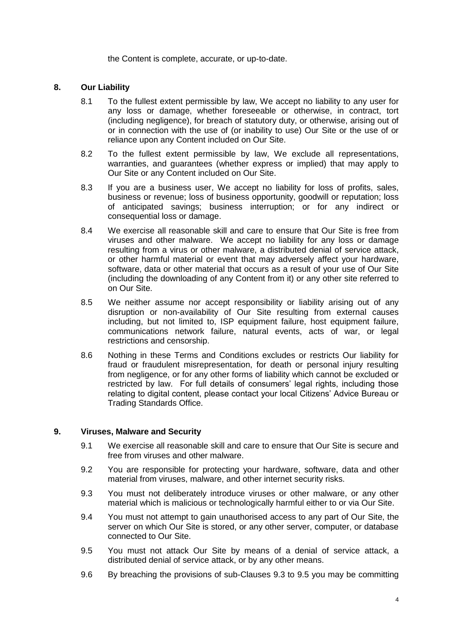the Content is complete, accurate, or up-to-date.

# **8. Our Liability**

- 8.1 To the fullest extent permissible by law, We accept no liability to any user for any loss or damage, whether foreseeable or otherwise, in contract, tort (including negligence), for breach of statutory duty, or otherwise, arising out of or in connection with the use of (or inability to use) Our Site or the use of or reliance upon any Content included on Our Site.
- 8.2 To the fullest extent permissible by law, We exclude all representations, warranties, and quarantees (whether express or implied) that may apply to Our Site or any Content included on Our Site.
- 8.3 If you are a business user, We accept no liability for loss of profits, sales, business or revenue; loss of business opportunity, goodwill or reputation; loss of anticipated savings; business interruption; or for any indirect or consequential loss or damage.
- 8.4 We exercise all reasonable skill and care to ensure that Our Site is free from viruses and other malware. We accept no liability for any loss or damage resulting from a virus or other malware, a distributed denial of service attack, or other harmful material or event that may adversely affect your hardware, software, data or other material that occurs as a result of your use of Our Site (including the downloading of any Content from it) or any other site referred to on Our Site.
- 8.5 We neither assume nor accept responsibility or liability arising out of any disruption or non-availability of Our Site resulting from external causes including, but not limited to, ISP equipment failure, host equipment failure, communications network failure, natural events, acts of war, or legal restrictions and censorship.
- 8.6 Nothing in these Terms and Conditions excludes or restricts Our liability for fraud or fraudulent misrepresentation, for death or personal injury resulting from negligence, or for any other forms of liability which cannot be excluded or restricted by law. For full details of consumers' legal rights, including those relating to digital content, please contact your local Citizens' Advice Bureau or Trading Standards Office.

#### **9. Viruses, Malware and Security**

- 9.1 We exercise all reasonable skill and care to ensure that Our Site is secure and free from viruses and other malware.
- 9.2 You are responsible for protecting your hardware, software, data and other material from viruses, malware, and other internet security risks.
- 9.3 You must not deliberately introduce viruses or other malware, or any other material which is malicious or technologically harmful either to or via Our Site.
- 9.4 You must not attempt to gain unauthorised access to any part of Our Site, the server on which Our Site is stored, or any other server, computer, or database connected to Our Site.
- 9.5 You must not attack Our Site by means of a denial of service attack, a distributed denial of service attack, or by any other means.
- 9.6 By breaching the provisions of sub-Clauses 9.3 to 9.5 you may be committing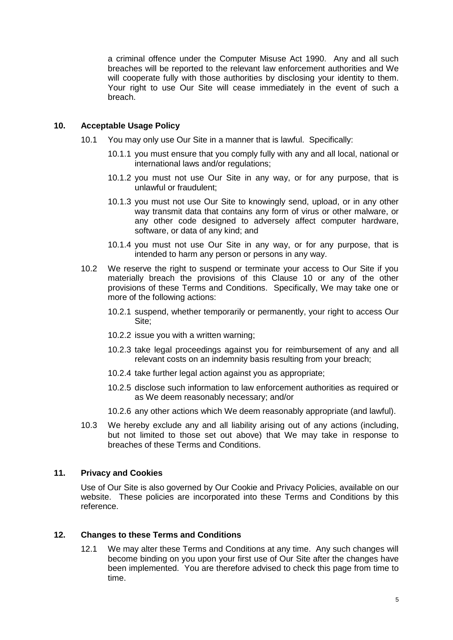a criminal offence under the Computer Misuse Act 1990. Any and all such breaches will be reported to the relevant law enforcement authorities and We will cooperate fully with those authorities by disclosing your identity to them. Your right to use Our Site will cease immediately in the event of such a breach.

# **10. Acceptable Usage Policy**

- 10.1 You may only use Our Site in a manner that is lawful. Specifically:
	- 10.1.1 you must ensure that you comply fully with any and all local, national or international laws and/or regulations;
	- 10.1.2 you must not use Our Site in any way, or for any purpose, that is unlawful or fraudulent;
	- 10.1.3 you must not use Our Site to knowingly send, upload, or in any other way transmit data that contains any form of virus or other malware, or any other code designed to adversely affect computer hardware, software, or data of any kind; and
	- 10.1.4 you must not use Our Site in any way, or for any purpose, that is intended to harm any person or persons in any way.
- 10.2 We reserve the right to suspend or terminate your access to Our Site if you materially breach the provisions of this Clause 10 or any of the other provisions of these Terms and Conditions. Specifically, We may take one or more of the following actions:
	- 10.2.1 suspend, whether temporarily or permanently, your right to access Our Site;
	- 10.2.2 issue you with a written warning;
	- 10.2.3 take legal proceedings against you for reimbursement of any and all relevant costs on an indemnity basis resulting from your breach;
	- 10.2.4 take further legal action against you as appropriate;
	- 10.2.5 disclose such information to law enforcement authorities as required or as We deem reasonably necessary; and/or
	- 10.2.6 any other actions which We deem reasonably appropriate (and lawful).
- 10.3 We hereby exclude any and all liability arising out of any actions (including, but not limited to those set out above) that We may take in response to breaches of these Terms and Conditions.

# **11. Privacy and Cookies**

Use of Our Site is also governed by Our Cookie and Privacy Policies, available on our website. These policies are incorporated into these Terms and Conditions by this reference.

# **12. Changes to these Terms and Conditions**

12.1 We may alter these Terms and Conditions at any time. Any such changes will become binding on you upon your first use of Our Site after the changes have been implemented. You are therefore advised to check this page from time to time.